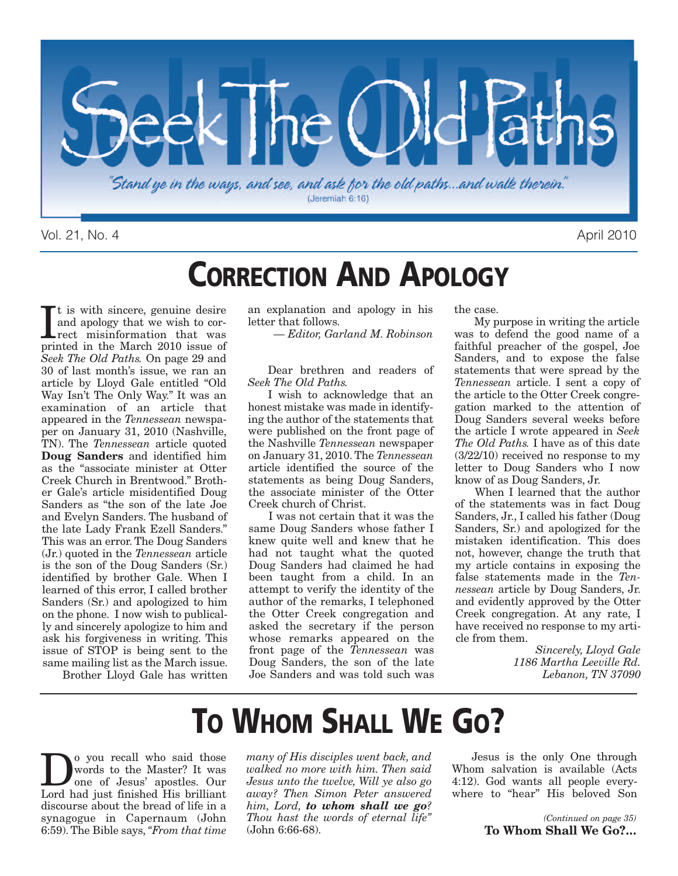

Vol. 21, No. 4 April 2010

### **CORRECTION AND APOLOGY**

It is with sincere, genuine desire<br>and apology that we wish to cor-<br>rect misinformation that was<br>printed in the March 2010 issue of t is with sincere, genuine desire and apology that we wish to correct misinformation that was *Seek The Old Paths.* On page 29 and 30 of last month's issue, we ran an article by Lloyd Gale entitled "Old Way Isn't The Only Way." It was an examination of an article that appeared in the *Tennessean* newspaper on January 31, 2010 (Nashville, TN). The *Tennessean* article quoted **Doug Sanders** and identified him as the "associate minister at Otter Creek Church in Brentwood." Brother Gale's article misidentified Doug Sanders as "the son of the late Joe and Evelyn Sanders. The husband of the late Lady Frank Ezell Sanders." This was an error. The Doug Sanders (Jr.) quoted in the *Tennessean* article is the son of the Doug Sanders (Sr.) identified by brother Gale. When I learned of this error, I called brother Sanders (Sr.) and apologized to him on the phone. I now wish to publically and sincerely apologize to him and ask his forgiveness in writing. This issue of STOP is being sent to the same mailing list as the March issue.

Brother Lloyd Gale has written

an explanation and apology in his letter that follows.

*— Editor, Garland M. Robinson*

Dear brethren and readers of *Seek The Old Paths.*

I wish to acknowledge that an honest mistake was made in identifying the author of the statements that were published on the front page of the Nashville *Tennessean* newspaper on January 31, 2010. The *Tennessean* article identified the source of the statements as being Doug Sanders, the associate minister of the Otter Creek church of Christ.

I was not certain that it was the same Doug Sanders whose father I knew quite well and knew that he had not taught what the quoted Doug Sanders had claimed he had been taught from a child. In an attempt to verify the identity of the author of the remarks, I telephoned the Otter Creek congregation and asked the secretary if the person whose remarks appeared on the front page of the *Tennessean* was Doug Sanders, the son of the late Joe Sanders and was told such was the case.

My purpose in writing the article was to defend the good name of a faithful preacher of the gospel, Joe Sanders, and to expose the false statements that were spread by the *Tennessean* article. I sent a copy of the article to the Otter Creek congregation marked to the attention of Doug Sanders several weeks before the article I wrote appeared in *Seek The Old Paths.* I have as of this date (3/22/10) received no response to my letter to Doug Sanders who I now know of as Doug Sanders, Jr.

When I learned that the author of the statements was in fact Doug Sanders, Jr., I called his father (Doug Sanders, Sr.) and apologized for the mistaken identification. This does not, however, change the truth that my article contains in exposing the false statements made in the *Tennessean* article by Doug Sanders, Jr. and evidently approved by the Otter Creek congregation. At any rate, I have received no response to my article from them.

> *Sincerely, Lloyd Gale 1186 Martha Leeville Rd. Lebanon, TN 37090*

# **TO WHOM SHALL WE GO?**

**D**<sup>o</sup> you recall who said those<br>words to the Master? It was<br>one of Jesus' apostles. Our words to the Master? It was Lord had just finished His brilliant discourse about the bread of life in a synagogue in Capernaum (John 6:59).The Bible says,*"From that time*

*many of His disciples went back, and walked no more with him. Then said Jesus unto the twelve, Will ye also go away? Then Simon Peter answered him, Lord, to whom shall we go? Thou hast the words of eternal life"* (John 6:66-68).

Jesus is the only One through Whom salvation is available (Acts 4:12). God wants all people everywhere to "hear" His beloved Son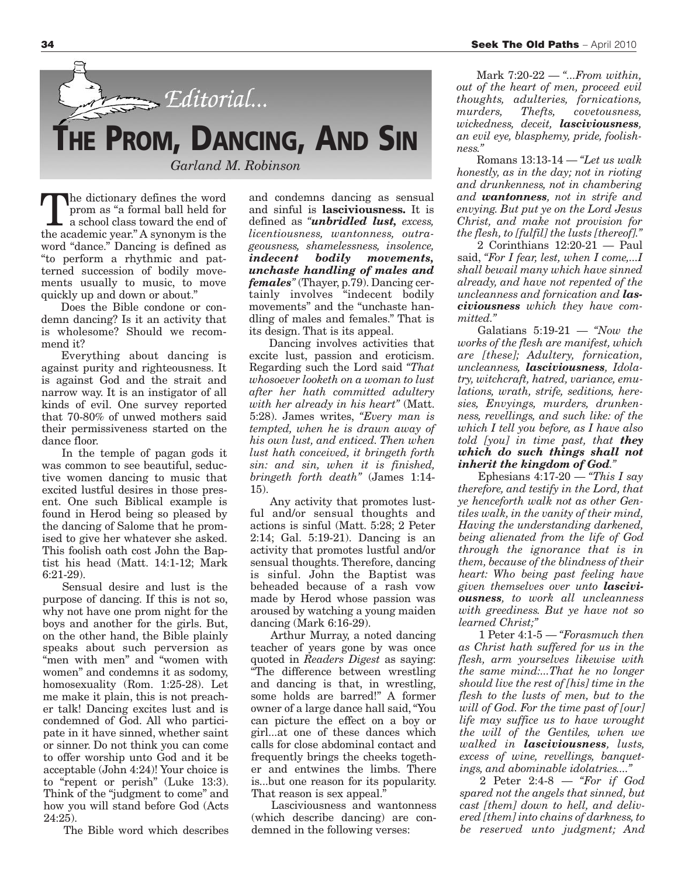

The dictionary defines the word prom as "a formal ball held for a school class toward the end of the academic year." A synonym is the word "dance." Dancing is defined as "to perform a rhythmic and patterned succession of bodily movements usually to music, to move quickly up and down or about."

Does the Bible condone or condemn dancing? Is it an activity that is wholesome? Should we recommend it?

Everything about dancing is against purity and righteousness. It is against God and the strait and narrow way. It is an instigator of all kinds of evil. One survey reported that 70-80% of unwed mothers said their permissiveness started on the dance floor.

In the temple of pagan gods it was common to see beautiful, seductive women dancing to music that excited lustful desires in those present. One such Biblical example is found in Herod being so pleased by the dancing of Salome that he promised to give her whatever she asked. This foolish oath cost John the Baptist his head (Matt. 14:1-12; Mark 6:21-29).

Sensual desire and lust is the purpose of dancing. If this is not so, why not have one prom night for the boys and another for the girls. But, on the other hand, the Bible plainly speaks about such perversion as "men with men" and "women with women" and condemns it as sodomy, homosexuality (Rom. 1:25-28). Let me make it plain, this is not preacher talk! Dancing excites lust and is condemned of God. All who participate in it have sinned, whether saint or sinner. Do not think you can come to offer worship unto God and it be acceptable (John 4:24)! Your choice is to "repent or perish" (Luke 13:3). Think of the "judgment to come" and how you will stand before God (Acts  $24:25$ ).

The Bible word which describes

and condemns dancing as sensual and sinful is **lasciviousness.** It is defined as *"unbridled lust, excess, licentiousness, wantonness, outrageousness, shamelessness, insolence, indecent bodily movements, unchaste handling of males and females"* (Thayer, p.79). Dancing certainly involves "indecent bodily movements" and the "unchaste handling of males and females." That is its design. That is its appeal.

Dancing involves activities that excite lust, passion and eroticism. Regarding such the Lord said *"That whosoever looketh on a woman to lust after her hath committed adultery with her already in his heart"* (Matt. 5:28). James writes, *"Every man is tempted, when he is drawn away of his own lust, and enticed. Then when lust hath conceived, it bringeth forth sin: and sin, when it is finished, bringeth forth death"* (James 1:14- 15).

Any activity that promotes lustful and/or sensual thoughts and actions is sinful (Matt. 5:28; 2 Peter 2:14; Gal. 5:19-21). Dancing is an activity that promotes lustful and/or sensual thoughts. Therefore, dancing is sinful. John the Baptist was beheaded because of a rash vow made by Herod whose passion was aroused by watching a young maiden dancing (Mark 6:16-29).

Arthur Murray, a noted dancing teacher of years gone by was once quoted in *Readers Digest* as saying: "The difference between wrestling and dancing is that, in wrestling, some holds are barred!" A former owner of a large dance hall said,"You can picture the effect on a boy or girl...at one of these dances which calls for close abdominal contact and frequently brings the cheeks together and entwines the limbs. There is...but one reason for its popularity. That reason is sex appeal.

Lasciviousness and wantonness (which describe dancing) are condemned in the following verses:

Mark 7:20-22 — *"...From within, out of the heart of men, proceed evil thoughts, adulteries, fornications, murders, Thefts, covetousness, wickedness, deceit, lasciviousness, an evil eye, blasphemy, pride, foolishness."*

Romans 13:13-14 — *"Let us walk honestly, as in the day; not in rioting and drunkenness, not in chambering and wantonness, not in strife and envying. But put ye on the Lord Jesus Christ, and make not provision for the flesh, to [fulfil] the lusts [thereof]."*

2 Corinthians 12:20-21 — Paul said, *"For I fear, lest, when I come,...I shall bewail many which have sinned already, and have not repented of the uncleanness and fornication and lasciviousness which they have committed."*

Galatians 5:19-21 — *"Now the works of the flesh are manifest, which are [these]; Adultery, fornication, uncleanness, lasciviousness, Idolatry, witchcraft, hatred, variance, emulations, wrath, strife, seditions, heresies, Envyings, murders, drunkenness, revellings, and such like: of the which I tell you before, as I have also told [you] in time past, that they which do such things shall not inherit the kingdom of God."*

Ephesians 4:17-20 — *"This I say therefore, and testify in the Lord, that ye henceforth walk not as other Gentiles walk, in the vanity of their mind, Having the understanding darkened, being alienated from the life of God through the ignorance that is in them, because of the blindness of their heart: Who being past feeling have given themselves over unto lasciviousness, to work all uncleanness with greediness. But ye have not so learned Christ;"*

1 Peter 4:1-5 — *"Forasmuch then as Christ hath suffered for us in the flesh, arm yourselves likewise with the same mind:...That he no longer should live the rest of [his] time in the flesh to the lusts of men, but to the will of God. For the time past of [our] life may suffice us to have wrought the will of the Gentiles, when we walked in lasciviousness, lusts, excess of wine, revellings, banquetings, and abominable idolatries...."*

2 Peter 2:4-8 — *"For if God spared not the angels that sinned, but cast [them] down to hell, and delivered [them] into chains of darkness, to be reserved unto judgment; And*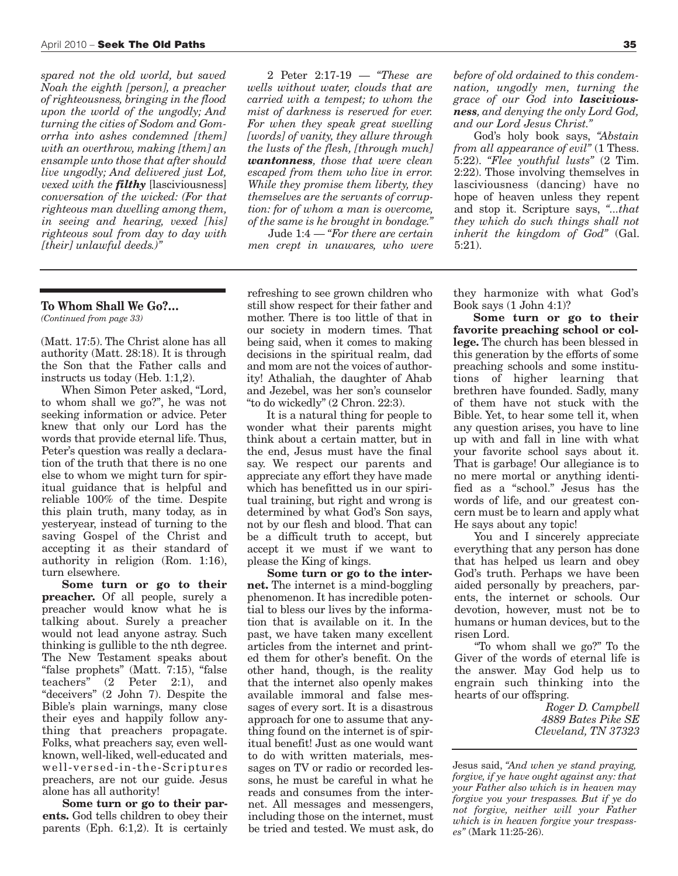*spared not the old world, but saved Noah the eighth [person], a preacher of righteousness, bringing in the flood upon the world of the ungodly; And turning the cities of Sodom and Gomorrha into ashes condemned [them] with an overthrow, making [them] an ensample unto those that after should live ungodly; And delivered just Lot, vexed with the filthy* [lasciviousness] *conversation of the wicked: (For that righteous man dwelling among them, in seeing and hearing, vexed [his] righteous soul from day to day with [their] unlawful deeds.)"*

#### **To Whom Shall We Go?…**

*(Continued from page 33)*

(Matt. 17:5). The Christ alone has all authority (Matt. 28:18). It is through the Son that the Father calls and instructs us today (Heb. 1:1,2).

When Simon Peter asked, "Lord, to whom shall we go?", he was not seeking information or advice. Peter knew that only our Lord has the words that provide eternal life. Thus, Peter's question was really a declaration of the truth that there is no one else to whom we might turn for spiritual guidance that is helpful and reliable 100% of the time. Despite this plain truth, many today, as in yesteryear, instead of turning to the saving Gospel of the Christ and accepting it as their standard of authority in religion (Rom. 1:16), turn elsewhere.

**Some turn or go to their preacher.** Of all people, surely a preacher would know what he is talking about. Surely a preacher would not lead anyone astray. Such thinking is gullible to the nth degree. The New Testament speaks about "false prophets" (Matt. 7:15), "false teachers" (2 Peter 2:1), and "deceivers" (2 John 7). Despite the Bible's plain warnings, many close their eyes and happily follow anything that preachers propagate. Folks, what preachers say, even wellknown, well-liked, well-educated and well-versed-in-the-Scriptures preachers, are not our guide. Jesus alone has all authority!

**Some turn or go to their parents.** God tells children to obey their parents (Eph. 6:1,2). It is certainly

2 Peter 2:17-19 — *"These are wells without water, clouds that are carried with a tempest; to whom the mist of darkness is reserved for ever. For when they speak great swelling [words] of vanity, they allure through the lusts of the flesh, [through much] wantonness, those that were clean escaped from them who live in error. While they promise them liberty, they themselves are the servants of corruption: for of whom a man is overcome, of the same is he brought in bondage."*

Jude 1:4 — *"For there are certain men crept in unawares, who were*

refreshing to see grown children who still show respect for their father and mother. There is too little of that in our society in modern times. That being said, when it comes to making decisions in the spiritual realm, dad and mom are not the voices of authority! Athaliah, the daughter of Ahab and Jezebel, was her son's counselor "to do wickedly" (2 Chron. 22:3).

It is a natural thing for people to wonder what their parents might think about a certain matter, but in the end, Jesus must have the final say. We respect our parents and appreciate any effort they have made which has benefitted us in our spiritual training, but right and wrong is determined by what God's Son says, not by our flesh and blood. That can be a difficult truth to accept, but accept it we must if we want to please the King of kings.

**Some turn or go to the internet.** The internet is a mind-boggling phenomenon. It has incredible potential to bless our lives by the information that is available on it. In the past, we have taken many excellent articles from the internet and printed them for other's benefit. On the other hand, though, is the reality that the internet also openly makes available immoral and false messages of every sort. It is a disastrous approach for one to assume that anything found on the internet is of spiritual benefit! Just as one would want to do with written materials, messages on TV or radio or recorded lessons, he must be careful in what he reads and consumes from the internet. All messages and messengers, including those on the internet, must be tried and tested. We must ask, do

*before of old ordained to this condemnation, ungodly men, turning the grace of our God into lasciviousness, and denying the only Lord God, and our Lord Jesus Christ."*

God's holy book says, *"Abstain from all appearance of evil"* (1 Thess. 5:22). *"Flee youthful lusts"* (2 Tim. 2:22). Those involving themselves in lasciviousness (dancing) have no hope of heaven unless they repent and stop it. Scripture says, *"...that they which do such things shall not inherit the kingdom of God"* (Gal. 5:21).

they harmonize with what God's Book says (1 John 4:1)?

**Some turn or go to their favorite preaching school or college.** The church has been blessed in this generation by the efforts of some preaching schools and some institutions of higher learning that brethren have founded. Sadly, many of them have not stuck with the Bible. Yet, to hear some tell it, when any question arises, you have to line up with and fall in line with what your favorite school says about it. That is garbage! Our allegiance is to no mere mortal or anything identified as a "school." Jesus has the words of life, and our greatest concern must be to learn and apply what He says about any topic!

You and I sincerely appreciate everything that any person has done that has helped us learn and obey God's truth. Perhaps we have been aided personally by preachers, parents, the internet or schools. Our devotion, however, must not be to humans or human devices, but to the risen Lord.

"To whom shall we go?" To the Giver of the words of eternal life is the answer. May God help us to engrain such thinking into the hearts of our offspring.

> *Roger D. Campbell 4889 Bates Pike SE Cleveland, TN 37323*

Jesus said, *"And when ye stand praying, forgive, if ye have ought against any: that your Father also which is in heaven may forgive you your trespasses. But if ye do not forgive, neither will your Father which is in heaven forgive your trespasses"* (Mark 11:25-26).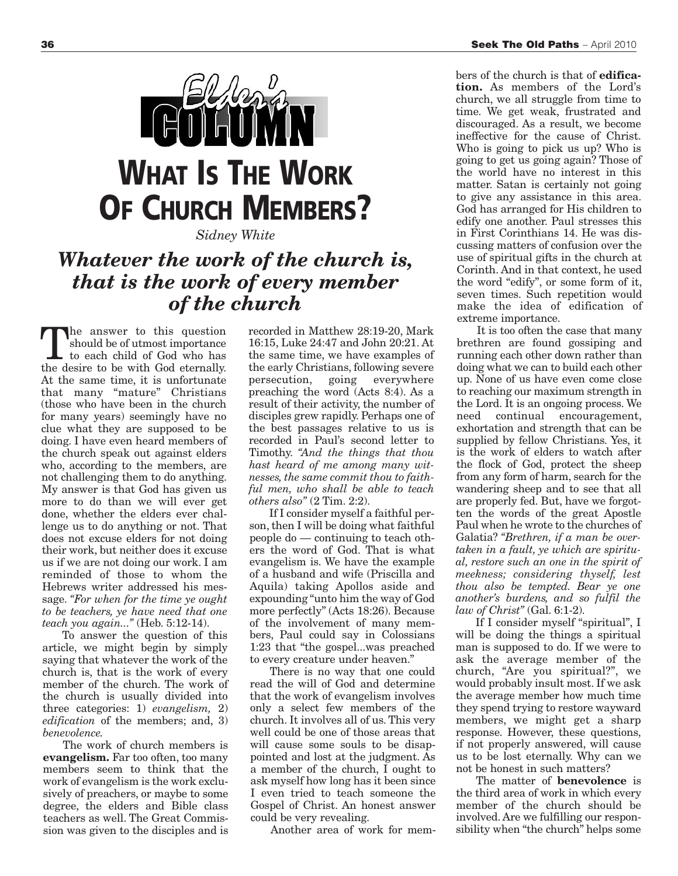

*Sidney White*

### *Whatever the work of the church is, that is the work of every member of the church*

the answer to this question should be of utmost importance to each child of God who has the desire to be with God eternally. At the same time, it is unfortunate that many "mature" Christians (those who have been in the church for many years) seemingly have no clue what they are supposed to be doing. I have even heard members of the church speak out against elders who, according to the members, are not challenging them to do anything. My answer is that God has given us more to do than we will ever get done, whether the elders ever challenge us to do anything or not. That does not excuse elders for not doing their work, but neither does it excuse us if we are not doing our work. I am reminded of those to whom the Hebrews writer addressed his message. *"For when for the time ye ought to be teachers, ye have need that one teach you again..."* (Heb. 5:12-14).

To answer the question of this article, we might begin by simply saying that whatever the work of the church is, that is the work of every member of the church. The work of the church is usually divided into three categories: 1) *evangelism,* 2) *edification* of the members; and, 3) *benevolence.*

The work of church members is **evangelism.** Far too often, too many members seem to think that the work of evangelism is the work exclusively of preachers, or maybe to some degree, the elders and Bible class teachers as well. The Great Commission was given to the disciples and is recorded in Matthew 28:19-20, Mark 16:15, Luke 24:47 and John 20:21. At the same time, we have examples of the early Christians, following severe<br>persecution, going everywhere persecution, going everywhere preaching the word (Acts 8:4). As a result of their activity, the number of disciples grew rapidly. Perhaps one of the best passages relative to us is recorded in Paul's second letter to Timothy. *"And the things that thou hast heard of me among many witnesses, the same commit thou to faithful men, who shall be able to teach others also"* (2 Tim. 2:2).

If I consider myself a faithful person, then I will be doing what faithful people do — continuing to teach others the word of God. That is what evangelism is. We have the example of a husband and wife (Priscilla and Aquila) taking Apollos aside and expounding "unto him the way of God more perfectly" (Acts 18:26). Because of the involvement of many members, Paul could say in Colossians 1:23 that "the gospel...was preached to every creature under heaven."

There is no way that one could read the will of God and determine that the work of evangelism involves only a select few members of the church. It involves all of us. This very well could be one of those areas that will cause some souls to be disappointed and lost at the judgment. As a member of the church, I ought to ask myself how long has it been since I even tried to teach someone the Gospel of Christ. An honest answer could be very revealing.

Another area of work for mem-

bers of the church is that of **edification.** As members of the Lord's church, we all struggle from time to time. We get weak, frustrated and discouraged. As a result, we become ineffective for the cause of Christ. Who is going to pick us up? Who is going to get us going again? Those of the world have no interest in this matter. Satan is certainly not going to give any assistance in this area. God has arranged for His children to edify one another. Paul stresses this in First Corinthians 14. He was discussing matters of confusion over the use of spiritual gifts in the church at Corinth. And in that context, he used the word "edify", or some form of it, seven times. Such repetition would make the idea of edification of extreme importance.

It is too often the case that many brethren are found gossiping and running each other down rather than doing what we can to build each other up. None of us have even come close to reaching our maximum strength in the Lord. It is an ongoing process. We need continual encouragement, exhortation and strength that can be supplied by fellow Christians. Yes, it is the work of elders to watch after the flock of God, protect the sheep from any form of harm, search for the wandering sheep and to see that all are properly fed. But, have we forgotten the words of the great Apostle Paul when he wrote to the churches of Galatia? *"Brethren, if a man be overtaken in a fault, ye which are spiritual, restore such an one in the spirit of meekness; considering thyself, lest thou also be tempted. Bear ye one another's burdens, and so fulfil the law of Christ"* (Gal. 6:1-2).

If I consider myself "spiritual", I will be doing the things a spiritual man is supposed to do. If we were to ask the average member of the church, "Are you spiritual?", we would probably insult most. If we ask the average member how much time they spend trying to restore wayward members, we might get a sharp response. However, these questions, if not properly answered, will cause us to be lost eternally. Why can we not be honest in such matters?

The matter of **benevolence** is the third area of work in which every member of the church should be involved. Are we fulfilling our responsibility when "the church" helps some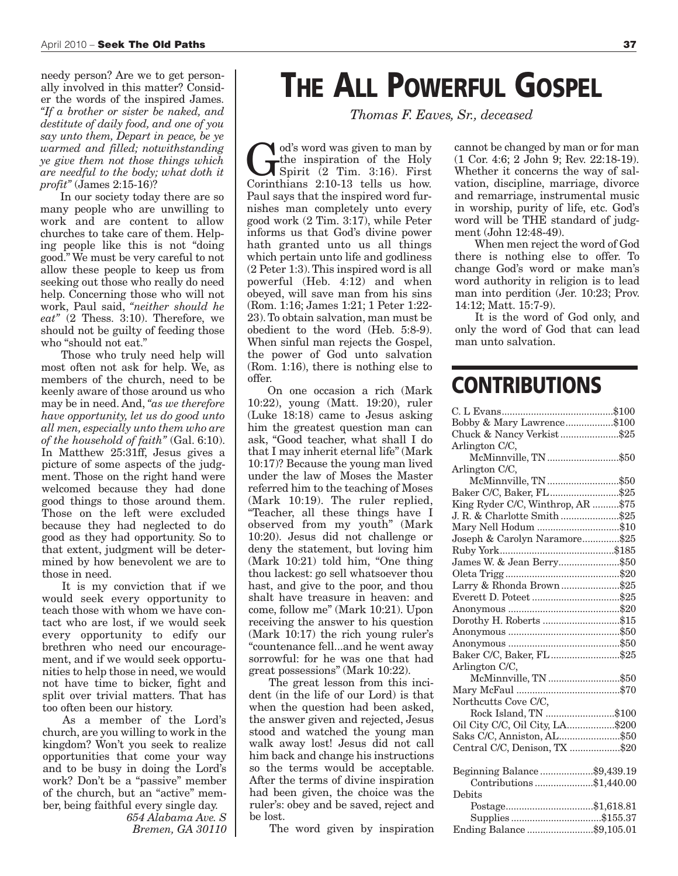needy person? Are we to get personally involved in this matter? Consider the words of the inspired James. *"If a brother or sister be naked, and destitute of daily food, and one of you say unto them, Depart in peace, be ye warmed and filled; notwithstanding ye give them not those things which are needful to the body; what doth it profit"* (James 2:15-16)?

In our society today there are so many people who are unwilling to work and are content to allow churches to take care of them. Helping people like this is not "doing good." We must be very careful to not allow these people to keep us from seeking out those who really do need help. Concerning those who will not work, Paul said, *"neither should he eat"* (2 Thess. 3:10). Therefore, we should not be guilty of feeding those who "should not eat."

Those who truly need help will most often not ask for help. We, as members of the church, need to be keenly aware of those around us who may be in need. And, *"as we therefore have opportunity, let us do good unto all men, especially unto them who are of the household of faith"* (Gal. 6:10). In Matthew 25:31ff, Jesus gives a picture of some aspects of the judgment. Those on the right hand were welcomed because they had done good things to those around them. Those on the left were excluded because they had neglected to do good as they had opportunity. So to that extent, judgment will be determined by how benevolent we are to those in need.

It is my conviction that if we would seek every opportunity to teach those with whom we have contact who are lost, if we would seek every opportunity to edify our brethren who need our encouragement, and if we would seek opportunities to help those in need, we would not have time to bicker, fight and split over trivial matters. That has too often been our history.

As a member of the Lord's church, are you willing to work in the kingdom? Won't you seek to realize opportunities that come your way and to be busy in doing the Lord's work? Don't be a "passive" member of the church, but an "active" member, being faithful every single day.

*654 Alabama Ave. S Bremen, GA 30110*

## **THE ALL POWERFUL GOSPEL**

*Thomas F. Eaves, Sr., deceased*

God's word was given to man by<br>the inspiration of the Holy<br>Spirit (2 Tim. 3:16). First<br>Corinthians 2:10-13 tells us how the inspiration of the Holy Corinthians 2:10-13 tells us how. Paul says that the inspired word furnishes man completely unto every good work (2 Tim. 3:17), while Peter informs us that God's divine power hath granted unto us all things which pertain unto life and godliness (2 Peter 1:3).This inspired word is all powerful (Heb. 4:12) and when obeyed, will save man from his sins (Rom. 1:16; James 1:21; 1 Peter 1:22- 23).To obtain salvation, man must be obedient to the word (Heb. 5:8-9). When sinful man rejects the Gospel, the power of God unto salvation (Rom. 1:16), there is nothing else to offer.

On one occasion a rich (Mark 10:22), young (Matt. 19:20), ruler (Luke 18:18) came to Jesus asking him the greatest question man can ask, "Good teacher, what shall I do that I may inherit eternal life" (Mark 10:17)? Because the young man lived under the law of Moses the Master referred him to the teaching of Moses (Mark 10:19). The ruler replied, "Teacher, all these things have I observed from my youth" (Mark 10:20). Jesus did not challenge or deny the statement, but loving him (Mark 10:21) told him, "One thing thou lackest: go sell whatsoever thou hast, and give to the poor, and thou shalt have treasure in heaven: and come, follow me" (Mark 10:21). Upon receiving the answer to his question (Mark 10:17) the rich young ruler's "countenance fell...and he went away sorrowful: for he was one that had great possessions" (Mark 10:22).

The great lesson from this incident (in the life of our Lord) is that when the question had been asked, the answer given and rejected, Jesus stood and watched the young man walk away lost! Jesus did not call him back and change his instructions so the terms would be acceptable. After the terms of divine inspiration had been given, the choice was the ruler's: obey and be saved, reject and be lost.

The word given by inspiration

cannot be changed by man or for man (1 Cor. 4:6; 2 John 9; Rev. 22:18-19). Whether it concerns the way of salvation, discipline, marriage, divorce and remarriage, instrumental music in worship, purity of life, etc. God's word will be THE standard of judgment (John 12:48-49).

When men reject the word of God there is nothing else to offer. To change God's word or make man's word authority in religion is to lead man into perdition (Jer. 10:23; Prov. 14:12; Matt. 15:7-9).

It is the word of God only, and only the word of God that can lead man unto salvation.

### **CONTRIBUTIONS**

| Bobby & Mary Lawrence\$100                                                                                                                                                                                                                                          |  |
|---------------------------------------------------------------------------------------------------------------------------------------------------------------------------------------------------------------------------------------------------------------------|--|
| Chuck & Nancy Verkist\$25                                                                                                                                                                                                                                           |  |
| Arlington C/C,                                                                                                                                                                                                                                                      |  |
| McMinnville, TN \$50                                                                                                                                                                                                                                                |  |
| Arlington C/C,                                                                                                                                                                                                                                                      |  |
| McMinnville, TN \$50                                                                                                                                                                                                                                                |  |
| Baker C/C, Baker, FL\$25                                                                                                                                                                                                                                            |  |
| King Ryder C/C, Winthrop, AR \$75                                                                                                                                                                                                                                   |  |
| J. R. & Charlotte Smith\$25                                                                                                                                                                                                                                         |  |
| Mary Nell Hodum \$10                                                                                                                                                                                                                                                |  |
| Joseph & Carolyn Naramore\$25                                                                                                                                                                                                                                       |  |
|                                                                                                                                                                                                                                                                     |  |
| James W. & Jean Berry\$50                                                                                                                                                                                                                                           |  |
|                                                                                                                                                                                                                                                                     |  |
| Larry & Rhonda Brown\$25                                                                                                                                                                                                                                            |  |
|                                                                                                                                                                                                                                                                     |  |
|                                                                                                                                                                                                                                                                     |  |
| Dorothy H. Roberts \$15                                                                                                                                                                                                                                             |  |
|                                                                                                                                                                                                                                                                     |  |
|                                                                                                                                                                                                                                                                     |  |
| Baker C/C, Baker, FL\$25                                                                                                                                                                                                                                            |  |
| Arlington C/C,                                                                                                                                                                                                                                                      |  |
| ${\bf McMinnuille, TN}\dots\hspace{-0.04cm}\dots\hspace{-0.04cm}\dots\hspace{-0.04cm}\dots\hspace{-0.04cm}\dots\hspace{-0.04cm}\dots\hspace{-0.04cm}\dots\hspace{-0.04cm}\dots\hspace{-0.04cm}\dots\hspace{-0.04cm}\dots\hspace{-0.04cm}\dots\hspace{-0.04cm}\dots$ |  |
|                                                                                                                                                                                                                                                                     |  |
| Northcutts Cove C/C,                                                                                                                                                                                                                                                |  |
| Rock Island, TN \$100                                                                                                                                                                                                                                               |  |
| Oil City C/C, Oil City, LA\$200                                                                                                                                                                                                                                     |  |
| Saks C/C, Anniston, AL\$50                                                                                                                                                                                                                                          |  |
| Central C/C, Denison, TX \$20                                                                                                                                                                                                                                       |  |
|                                                                                                                                                                                                                                                                     |  |
| Beginning Balance\$9,439.19                                                                                                                                                                                                                                         |  |
| Contributions\$1,440.00                                                                                                                                                                                                                                             |  |
| Debits                                                                                                                                                                                                                                                              |  |
| Postage\$1,618.81                                                                                                                                                                                                                                                   |  |
|                                                                                                                                                                                                                                                                     |  |
| Ending Balance\$9,105.01                                                                                                                                                                                                                                            |  |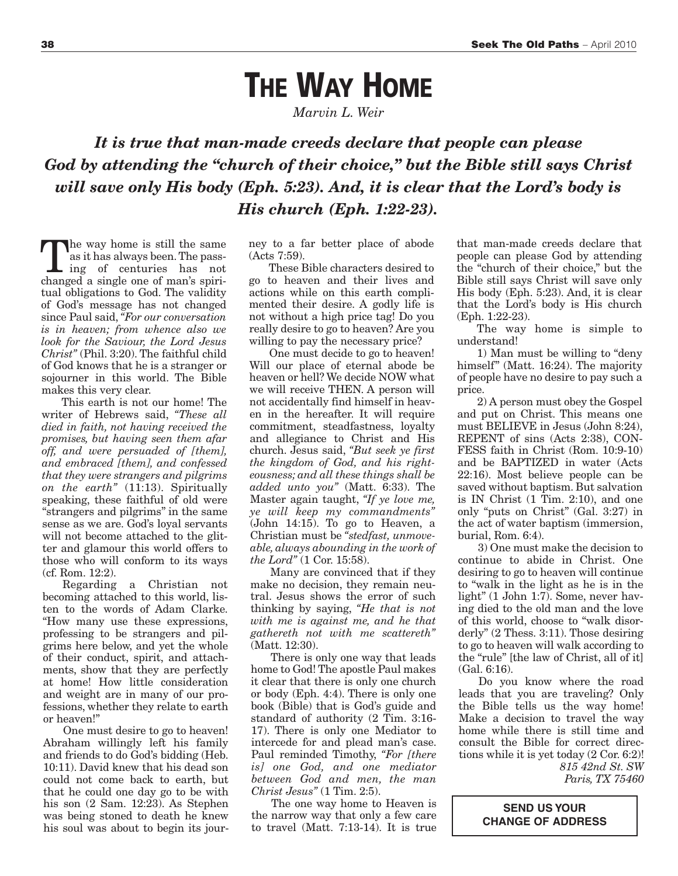## **THE WAY HOME**

*Marvin L. Weir*

*It is true that man-made creeds declare that people can please God by attending the "church of their choice, " but the Bible still says Christ will save only His body (Eph. 5:23). And, it is clear that the Lord's body is His church (Eph. 1:22-23).*

The way home is still the same<br>as it has always been. The pass-<br>ing of centuries has not<br>changed a single one of man's spirias it has always been.The passing of centuries has not changed a single one of man's spiritual obligations to God. The validity of God's message has not changed since Paul said, *"For our conversation is in heaven; from whence also we look for the Saviour, the Lord Jesus Christ"* (Phil. 3:20). The faithful child of God knows that he is a stranger or sojourner in this world. The Bible makes this very clear.

This earth is not our home! The writer of Hebrews said, *"These all died in faith, not having received the promises, but having seen them afar off, and were persuaded of [them], and embraced [them], and confessed that they were strangers and pilgrims on the earth"* (11:13). Spiritually speaking, these faithful of old were "strangers and pilgrims" in the same sense as we are. God's loyal servants will not become attached to the glitter and glamour this world offers to those who will conform to its ways (cf. Rom. 12:2).

Regarding a Christian not becoming attached to this world, listen to the words of Adam Clarke. "How many use these expressions, professing to be strangers and pilgrims here below, and yet the whole of their conduct, spirit, and attachments, show that they are perfectly at home! How little consideration and weight are in many of our professions, whether they relate to earth or heaven!"

One must desire to go to heaven! Abraham willingly left his family and friends to do God's bidding (Heb. 10:11). David knew that his dead son could not come back to earth, but that he could one day go to be with his son (2 Sam. 12:23). As Stephen was being stoned to death he knew his soul was about to begin its journey to a far better place of abode (Acts 7:59).

These Bible characters desired to go to heaven and their lives and actions while on this earth complimented their desire. A godly life is not without a high price tag! Do you really desire to go to heaven? Are you willing to pay the necessary price?

One must decide to go to heaven! Will our place of eternal abode be heaven or hell? We decide NOW what we will receive THEN. A person will not accidentally find himself in heaven in the hereafter. It will require commitment, steadfastness, loyalty and allegiance to Christ and His church. Jesus said, *"But seek ye first the kingdom of God, and his righteousness; and all these things shall be added unto you"* (Matt. 6:33). The Master again taught, *"If ye love me, ye will keep my commandments"* (John 14:15). To go to Heaven, a Christian must be *"stedfast, unmoveable, always abounding in the work of the Lord"* (1 Cor. 15:58).

Many are convinced that if they make no decision, they remain neutral. Jesus shows the error of such thinking by saying, *"He that is not with me is against me, and he that gathereth not with me scattereth"* (Matt. 12:30).

There is only one way that leads home to God! The apostle Paul makes it clear that there is only one church or body (Eph. 4:4). There is only one book (Bible) that is God's guide and standard of authority (2 Tim. 3:16- 17). There is only one Mediator to intercede for and plead man's case. Paul reminded Timothy, *"For [there is] one God, and one mediator between God and men, the man Christ Jesus"* (1 Tim. 2:5).

The one way home to Heaven is the narrow way that only a few care to travel (Matt. 7:13-14). It is true that man-made creeds declare that people can please God by attending the "church of their choice," but the Bible still says Christ will save only His body (Eph. 5:23). And, it is clear that the Lord's body is His church (Eph. 1:22-23).

The way home is simple to understand!

1) Man must be willing to "deny himself" (Matt. 16:24). The majority of people have no desire to pay such a price.

2) A person must obey the Gospel and put on Christ. This means one must BELIEVE in Jesus (John 8:24), REPENT of sins (Acts 2:38), CON-FESS faith in Christ (Rom. 10:9-10) and be BAPTIZED in water (Acts 22:16). Most believe people can be saved without baptism. But salvation is IN Christ (1 Tim. 2:10), and one only "puts on Christ" (Gal. 3:27) in the act of water baptism (immersion, burial, Rom. 6:4).

3) One must make the decision to continue to abide in Christ. One desiring to go to heaven will continue to "walk in the light as he is in the light" (1 John 1:7). Some, never having died to the old man and the love of this world, choose to "walk disorderly" (2 Thess. 3:11). Those desiring to go to heaven will walk according to the "rule" [the law of Christ, all of it] (Gal. 6:16).

Do you know where the road leads that you are traveling? Only the Bible tells us the way home! Make a decision to travel the way home while there is still time and consult the Bible for correct directions while it is yet today (2 Cor. 6:2)! *815 42nd St. SW Paris, TX 75460*

> **SEND US YOUR CHANGE OF ADDRESS**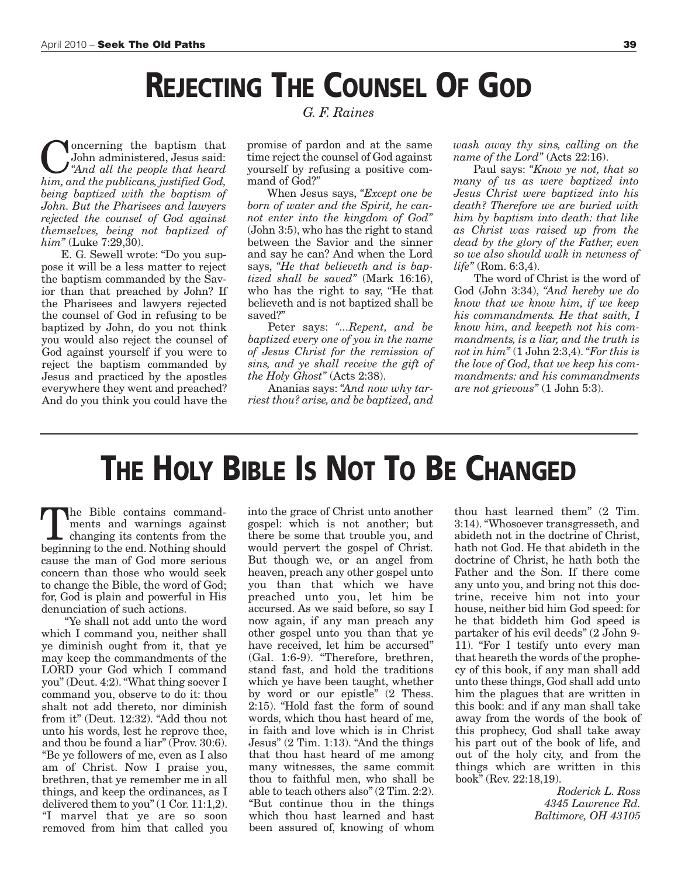## **REJECTING THE COUNSEL OF GOD**

**C**<br>**C**<br>**C**<br>**C**<br>*Conductional <i>And**all**the people**that**heard***<br>***him* **and** *the publicans**instified God* John administered, Jesus said: *him, and the publicans, justified God, being baptized with the baptism of John. But the Pharisees and lawyers rejected the counsel of God against themselves, being not baptized of him"* (Luke 7:29,30).

E. G. Sewell wrote: "Do you suppose it will be a less matter to reject the baptism commanded by the Savior than that preached by John? If the Pharisees and lawyers rejected the counsel of God in refusing to be baptized by John, do you not think you would also reject the counsel of God against yourself if you were to reject the baptism commanded by Jesus and practiced by the apostles everywhere they went and preached? And do you think you could have the

*G. F. Raines*

promise of pardon and at the same time reject the counsel of God against yourself by refusing a positive command of God?"

When Jesus says, *"Except one be born of water and the Spirit, he cannot enter into the kingdom of God"* (John 3:5), who has the right to stand between the Savior and the sinner and say he can? And when the Lord says, *"He that believeth and is baptized shall be saved"* (Mark 16:16), who has the right to say, "He that believeth and is not baptized shall be saved?"

Peter says: *"...Repent, and be baptized every one of you in the name of Jesus Christ for the remission of sins, and ye shall receive the gift of the Holy Ghost"* (Acts 2:38).

Ananias says: *"And now why tarriest thou? arise, and be baptized, and* *wash away thy sins, calling on the name of the Lord"* (Acts 22:16).

Paul says: *"Know ye not, that so many of us as were baptized into Jesus Christ were baptized into his death? Therefore we are buried with him by baptism into death: that like as Christ was raised up from the dead by the glory of the Father, even so we also should walk in newness of life"* (Rom. 6:3,4).

The word of Christ is the word of God (John 3:34), *"And hereby we do know that we know him, if we keep his commandments. He that saith, I know him, and keepeth not his commandments, is a liar, and the truth is not in him"* (1 John 2:3,4). *"For this is the love of God, that we keep his commandments: and his commandments are not grievous"* (1 John 5:3).

### **THE HOLY BIBLE IS NOT TO BE CHANGED**

The Bible contains command-<br>ments and warnings against<br>changing its contents from the<br>herinning to the end Nothing should ments and warnings against changing its contents from the beginning to the end. Nothing should cause the man of God more serious concern than those who would seek to change the Bible, the word of God; for, God is plain and powerful in His denunciation of such actions.

"Ye shall not add unto the word which I command you, neither shall ye diminish ought from it, that ye may keep the commandments of the LORD your God which I command you" (Deut. 4:2)."What thing soever I command you, observe to do it: thou shalt not add thereto, nor diminish from it" (Deut. 12:32). "Add thou not unto his words, lest he reprove thee, and thou be found a liar" (Prov. 30:6). "Be ye followers of me, even as I also am of Christ. Now I praise you, brethren, that ye remember me in all things, and keep the ordinances, as I delivered them to you" (1 Cor. 11:1,2). "I marvel that ye are so soon removed from him that called you into the grace of Christ unto another gospel: which is not another; but there be some that trouble you, and would pervert the gospel of Christ. But though we, or an angel from heaven, preach any other gospel unto you than that which we have preached unto you, let him be accursed. As we said before, so say I now again, if any man preach any other gospel unto you than that ye have received, let him be accursed" (Gal. 1:6-9). "Therefore, brethren, stand fast, and hold the traditions which ye have been taught, whether by word or our epistle" (2 Thess. 2:15). "Hold fast the form of sound words, which thou hast heard of me, in faith and love which is in Christ Jesus" (2 Tim. 1:13). "And the things that thou hast heard of me among many witnesses, the same commit thou to faithful men, who shall be able to teach others also" (2 Tim. 2:2). "But continue thou in the things which thou hast learned and hast been assured of, knowing of whom thou hast learned them" (2 Tim. 3:14)."Whosoever transgresseth, and abideth not in the doctrine of Christ, hath not God. He that abideth in the doctrine of Christ, he hath both the Father and the Son. If there come any unto you, and bring not this doctrine, receive him not into your house, neither bid him God speed: for he that biddeth him God speed is partaker of his evil deeds" (2 John 9- 11). "For I testify unto every man that heareth the words of the prophecy of this book, if any man shall add unto these things, God shall add unto him the plagues that are written in this book: and if any man shall take away from the words of the book of this prophecy, God shall take away his part out of the book of life, and out of the holy city, and from the things which are written in this book" (Rev. 22:18,19).

> *Roderick L. Ross 4345 Lawrence Rd. Baltimore, OH 43105*